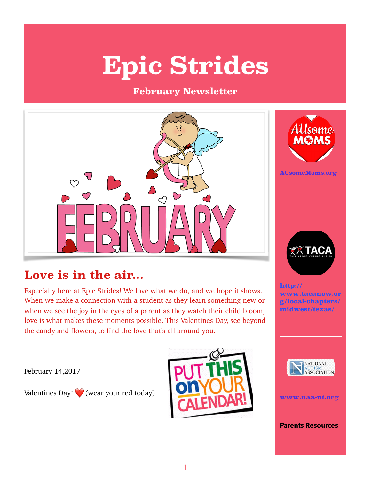# **Epic Strides**

### **February Newsletter**



## **Love is in the air...**

Especially here at Epic Strides! We love what we do, and we hope it shows. When we make a connection with a student as they learn something new or when we see the joy in the eyes of a parent as they watch their child bloom; love is what makes these moments possible. This Valentines Day, see beyond the candy and flowers, to find the love that's all around you.

February 14,2017

Valentines Day!  $\bigcirc$  (wear your red today)





**AUsomeMoms.org**



**http:// www.tacanow.or g/local-chapters/ midwest/texas/** 





**Parents Resources**